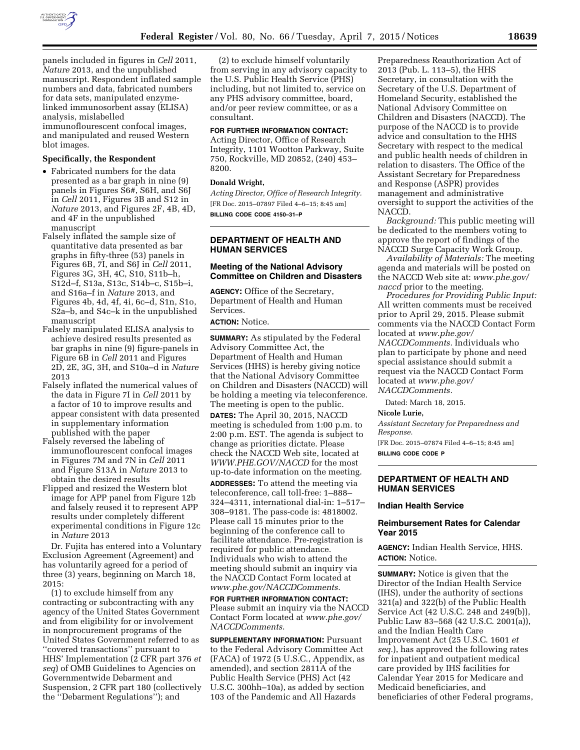

panels included in figures in *Cell* 2011, *Nature* 2013, and the unpublished manuscript. Respondent inflated sample numbers and data, fabricated numbers for data sets, manipulated enzymelinked immunosorbent assay (ELISA) analysis, mislabelled immunoflourescent confocal images, and manipulated and reused Western blot images.

#### **Specifically, the Respondent**

- Fabricated numbers for the data presented as a bar graph in nine (9) panels in Figures S6#, S6H, and S6J in *Cell* 2011, Figures 3B and S12 in *Nature* 2013, and Figures 2F, 4B, 4D, and 4F in the unpublished manuscript
- Falsely inflated the sample size of quantitative data presented as bar graphs in fifty-three (53) panels in Figures 6B, 7I, and S6J in *Cell* 2011, Figures 3G, 3H, 4C, S10, S11b–h, S12d–f, S13a, S13c, S14b–c, S15b–i, and S16a–f in *Nature* 2013, and Figures 4b, 4d, 4f, 4i, 6c–d, S1n, S1o, S2a–b, and S4c–k in the unpublished manuscript
- Falsely manipulated ELISA analysis to achieve desired results presented as bar graphs in nine (9) figure-panels in Figure 6B in *Cell* 2011 and Figures 2D, 2E, 3G, 3H, and S10a–d in *Nature*  2013
- Falsely inflated the numerical values of the data in Figure 7I in *Cell* 2011 by a factor of 10 to improve results and appear consistent with data presented in supplementary information published with the paper
- Falsely reversed the labeling of immunoflourescent confocal images in Figures 7M and 7N in *Cell* 2011 and Figure S13A in *Nature* 2013 to obtain the desired results
- Flipped and resized the Western blot image for APP panel from Figure 12b and falsely reused it to represent APP results under completely different experimental conditions in Figure 12c in *Nature* 2013

Dr. Fujita has entered into a Voluntary Exclusion Agreement (Agreement) and has voluntarily agreed for a period of three (3) years, beginning on March 18, 2015:

(1) to exclude himself from any contracting or subcontracting with any agency of the United States Government and from eligibility for or involvement in nonprocurement programs of the United States Government referred to as ''covered transactions'' pursuant to HHS' Implementation (2 CFR part 376 *et seq*) of OMB Guidelines to Agencies on Governmentwide Debarment and Suspension, 2 CFR part 180 (collectively the ''Debarment Regulations''); and

(2) to exclude himself voluntarily from serving in any advisory capacity to the U.S. Public Health Service (PHS) including, but not limited to, service on any PHS advisory committee, board, and/or peer review committee, or as a consultant.

# **FOR FURTHER INFORMATION CONTACT:**

Acting Director, Office of Research Integrity, 1101 Wootton Parkway, Suite 750, Rockville, MD 20852, (240) 453– 8200.

#### **Donald Wright,**

*Acting Director, Office of Research Integrity.*  [FR Doc. 2015–07897 Filed 4–6–15; 8:45 am] **BILLING CODE CODE 4150–31–P** 

## **DEPARTMENT OF HEALTH AND HUMAN SERVICES**

#### **Meeting of the National Advisory Committee on Children and Disasters**

**AGENCY:** Office of the Secretary, Department of Health and Human Services.

# **ACTION:** Notice.

**SUMMARY:** As stipulated by the Federal Advisory Committee Act, the Department of Health and Human Services (HHS) is hereby giving notice that the National Advisory Committee on Children and Disasters (NACCD) will be holding a meeting via teleconference. The meeting is open to the public.

**DATES:** The April 30, 2015, NACCD meeting is scheduled from 1:00 p.m. to 2:00 p.m. EST. The agenda is subject to change as priorities dictate. Please check the NACCD Web site, located at *WWW.PHE.GOV/NACCD* for the most up-to-date information on the meeting.

**ADDRESSES:** To attend the meeting via teleconference, call toll-free: 1–888– 324–4311, international dial-in: 1–517– 308–9181. The pass-code is: 4818002. Please call 15 minutes prior to the beginning of the conference call to facilitate attendance. Pre-registration is required for public attendance. Individuals who wish to attend the meeting should submit an inquiry via the NACCD Contact Form located at *[www.phe.gov/NACCDComments.](http://www.phe.gov/NACCDComments)* 

**FOR FURTHER INFORMATION CONTACT:**  Please submit an inquiry via the NACCD Contact Form located at *[www.phe.gov/](http://www.phe.gov/NACCDComments) [NACCDComments](http://www.phe.gov/NACCDComments)*.

**SUPPLEMENTARY INFORMATION: Pursuant** to the Federal Advisory Committee Act (FACA) of 1972 (5 U.S.C., Appendix, as amended), and section 2811A of the Public Health Service (PHS) Act (42 U.S.C. 300hh–10a), as added by section 103 of the Pandemic and All Hazards

Preparedness Reauthorization Act of 2013 (Pub. L. 113–5), the HHS Secretary, in consultation with the Secretary of the U.S. Department of Homeland Security, established the National Advisory Committee on Children and Disasters (NACCD). The purpose of the NACCD is to provide advice and consultation to the HHS Secretary with respect to the medical and public health needs of children in relation to disasters. The Office of the Assistant Secretary for Preparedness and Response (ASPR) provides management and administrative oversight to support the activities of the NACCD.

*Background:* This public meeting will be dedicated to the members voting to approve the report of findings of the NACCD Surge Capacity Work Group.

*Availability of Materials:* The meeting agenda and materials will be posted on the NACCD Web site at: *[www.phe.gov/](http://www.phe.gov/naccd) [naccd](http://www.phe.gov/naccd)* prior to the meeting.

*Procedures for Providing Public Input:*  All written comments must be received prior to April 29, 2015. Please submit comments via the NACCD Contact Form located at *[www.phe.gov/](http://www.phe.gov/NACCDComments) [NACCDComments.](http://www.phe.gov/NACCDComments)* Individuals who plan to participate by phone and need special assistance should submit a request via the NACCD Contact Form located at *[www.phe.gov/](http://www.phe.gov/NACCDComments) [NACCDComments.](http://www.phe.gov/NACCDComments)* 

Dated: March 18, 2015.

#### **Nicole Lurie,**

*Assistant Secretary for Preparedness and Response.* 

[FR Doc. 2015–07874 Filed 4–6–15; 8:45 am] **BILLING CODE CODE P** 

# **DEPARTMENT OF HEALTH AND HUMAN SERVICES**

#### **Indian Health Service**

# **Reimbursement Rates for Calendar Year 2015**

**AGENCY:** Indian Health Service, HHS. **ACTION:** Notice.

**SUMMARY:** Notice is given that the Director of the Indian Health Service (IHS), under the authority of sections 321(a) and 322(b) of the Public Health Service Act (42 U.S.C. 248 and 249(b)), Public Law 83–568 (42 U.S.C. 2001(a)), and the Indian Health Care Improvement Act (25 U.S.C. 1601 *et seq.*), has approved the following rates for inpatient and outpatient medical care provided by IHS facilities for Calendar Year 2015 for Medicare and Medicaid beneficiaries, and beneficiaries of other Federal programs,